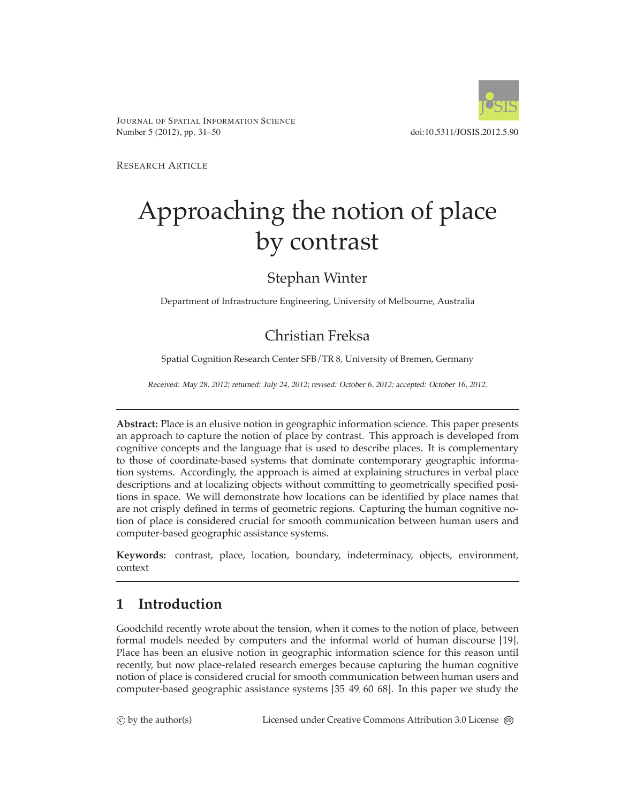

JOURNAL OF SPATIAL INFORMATION SCIENCE Number 5 (2012), pp. 31–50 doi:10.5311/JOSIS.2012.5.90

RESEARCH ARTICLE

# Approaching the notion of place by contrast

# Stephan Winter

Department of Infrastructure Engineering, University of Melbourne, Australia

# Christian Freksa

Spatial Cognition Research Center SFB/TR 8, University of Bremen, Germany

Received: May 28, 2012; returned: July 24, 2012; revised: October 6, 2012; accepted: October 16, 2012.

**Abstract:** Place is an elusive notion in geographic information science. This paper presents an approach to capture the notion of place by contrast. This approach is developed from cognitive concepts and the language that is used to describe places. It is complementary to those of coordinate-based systems that dominate contemporary geographic information systems. Accordingly, the approach is aimed at explaining structures in verbal place descriptions and at localizing objects without committing to geometrically specified positions in space. We will demonstrate how locations can be identified by place names that are not crisply defined in terms of geometric regions. Capturing the human cognitive notion of place is considered crucial for smooth communication between human users and computer-based geographic assistance systems.

**Keywords:** contrast, place, location, boundary, indeterminacy, objects, environment, context

# **1 Introduction**

Goodchild recently wrote about the tension, when it comes to the notion of place, between formal models needed by computers and the informal world of human discourse [\[19\]](#page-16-0). Place has been an elusive notion in geographic information science for this reason until recently, but now place-related research emerges because capturing the human cognitive notion of place is considered crucial for smooth communication between human users and computer-based geographic assistance systems [\[35,](#page-17-0) [49,](#page-18-0) [60,](#page-18-1) [68\]](#page-19-0). In this paper we study the

 $\circled{c}$  by the author(s)

C by the author(s) Licensed under Creative Commons Attribution 3.0 License  $\circledcirc$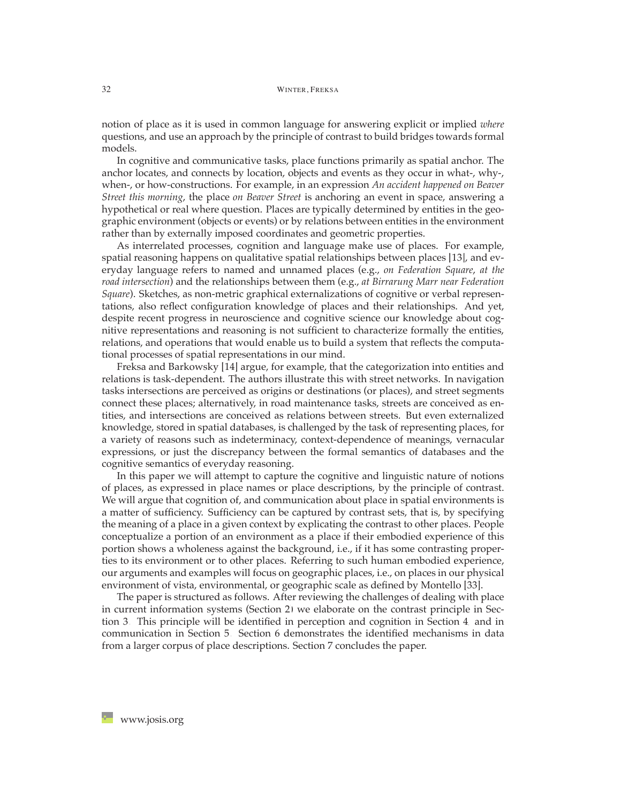notion of place as it is used in common language for answering explicit or implied *where* questions, and use an approach by the principle of contrast to build bridges towards formal models.

In cognitive and communicative tasks, place functions primarily as spatial anchor. The anchor locates, and connects by location, objects and events as they occur in what-, why-, when-, or how-constructions. For example, in an expression *An accident happened on Beaver Street this morning*, the place *on Beaver Street* is anchoring an event in space, answering a hypothetical or real where question. Places are typically determined by entities in the geographic environment (objects or events) or by relations between entities in the environment rather than by externally imposed coordinates and geometric properties.

As interrelated processes, cognition and language make use of places. For example, spatial reasoning happens on qualitative spatial relationships between places [\[13\]](#page-15-0), and everyday language refers to named and unnamed places (e.g., *on Federation Square*, *at the road intersection*) and the relationships between them (e.g., *at Birrarung Marr near Federation Square*). Sketches, as non-metric graphical externalizations of cognitive or verbal representations, also reflect configuration knowledge of places and their relationships. And yet, despite recent progress in neuroscience and cognitive science our knowledge about cognitive representations and reasoning is not sufficient to characterize formally the entities, relations, and operations that would enable us to build a system that reflects the computational processes of spatial representations in our mind.

Freksa and Barkowsky [\[14\]](#page-15-1) argue, for example, that the categorization into entities and relations is task-dependent. The authors illustrate this with street networks. In navigation tasks intersections are perceived as origins or destinations (or places), and street segments connect these places; alternatively, in road maintenance tasks, streets are conceived as entities, and intersections are conceived as relations between streets. But even externalized knowledge, stored in spatial databases, is challenged by the task of representing places, for a variety of reasons such as indeterminacy, context-dependence of meanings, vernacular expressions, or just the discrepancy between the formal semantics of databases and the cognitive semantics of everyday reasoning.

In this paper we will attempt to capture the cognitive and linguistic nature of notions of places, as expressed in place names or place descriptions, by the principle of contrast. We will argue that cognition of, and communication about place in spatial environments is a matter of sufficiency. Sufficiency can be captured by contrast sets, that is, by specifying the meaning of a place in a given context by explicating the contrast to other places. People conceptualize a portion of an environment as a place if their embodied experience of this portion shows a wholeness against the background, i.e., if it has some contrasting properties to its environment or to other places. Referring to such human embodied experience, our arguments and examples will focus on geographic places, i.e., on places in our physical environment of vista, environmental, or geographic scale as defined by Montello [\[33\]](#page-17-1).

The paper is structured as follows. After reviewing the challenges of dealing with place in current information systems (Section [2\)](#page-2-0) we elaborate on the contrast principle in Section [3.](#page-3-0) This principle will be identified in perception and cognition in Section [4,](#page-5-0) and in communication in Section [5.](#page-8-0) Section [6](#page-12-0) demonstrates the identified mechanisms in data from a larger corpus of place descriptions. Section [7](#page-13-0) concludes the paper.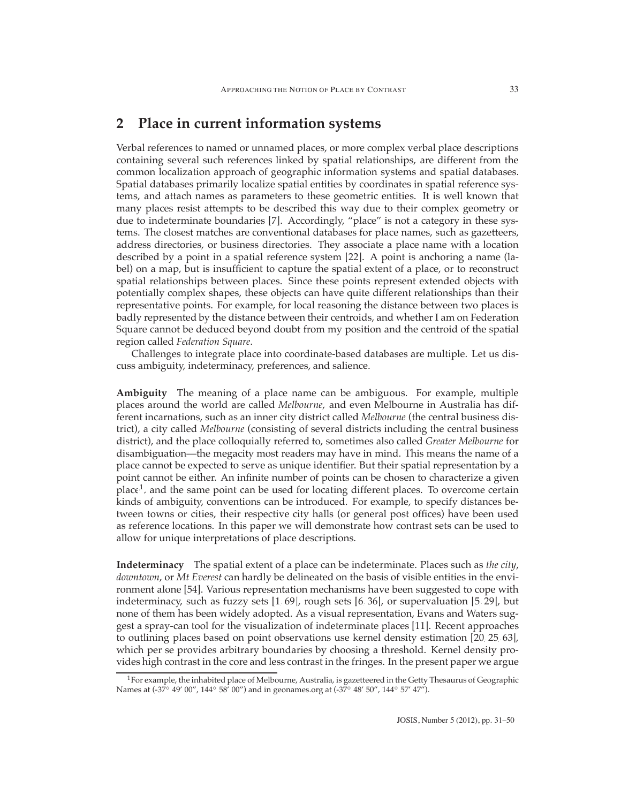# <span id="page-2-0"></span>**2 Place in current information systems**

Verbal references to named or unnamed places, or more complex verbal place descriptions containing several such references linked by spatial relationships, are different from the common localization approach of geographic information systems and spatial databases. Spatial databases primarily localize spatial entities by coordinates in spatial reference systems, and attach names as parameters to these geometric entities. It is well known that many places resist attempts to be described this way due to their complex geometry or due to indeterminate boundaries [\[7\]](#page-15-2). Accordingly, "place" is not a category in these systems. The closest matches are conventional databases for place names, such as gazetteers, address directories, or business directories. They associate a place name with a location described by a point in a spatial reference system [\[22\]](#page-16-1). A point is anchoring a name (label) on a map, but is insufficient to capture the spatial extent of a place, or to reconstruct spatial relationships between places. Since these points represent extended objects with potentially complex shapes, these objects can have quite different relationships than their representative points. For example, for local reasoning the distance between two places is badly represented by the distance between their centroids, and whether I am on Federation Square cannot be deduced beyond doubt from my position and the centroid of the spatial region called *Federation Square*.

Challenges to integrate place into coordinate-based databases are multiple. Let us discuss ambiguity, indeterminacy, preferences, and salience.

**Ambiguity** The meaning of a place name can be ambiguous. For example, multiple places around the world are called *Melbourne*, and even Melbourne in Australia has different incarnations, such as an inner city district called *Melbourne* (the central business district), a city called *Melbourne* (consisting of several districts including the central business district), and the place colloquially referred to, sometimes also called *Greater Melbourne* for disambiguation—the megacity most readers may have in mind. This means the name of a place cannot be expected to serve as unique identifier. But their spatial representation by a point cannot be either. An infinite number of points can be chosen to characterize a given  $place<sup>1</sup>$ , and the same point can be used for locating different places. To overcome certain kinds of ambiguity, conventions can be introduced. For example, to specify distances between towns or cities, their respective city halls (or general post offices) have been used as reference locations. In this paper we will demonstrate how contrast sets can be used to allow for unique interpretations of place descriptions.

**Indeterminacy** The spatial extent of a place can be indeterminate. Places such as *the city*, *downtown*, or *Mt Everest* can hardly be delineated on the basis of visible entities in the environment alone [\[54\]](#page-18-2). Various representation mechanisms have been suggested to cope with indeterminacy, such as fuzzy sets [\[1,](#page-14-0) [69\]](#page-19-1), rough sets [\[6,](#page-15-3) [36\]](#page-17-2), or supervaluation [\[5,](#page-15-4) [29\]](#page-16-2), but none of them has been widely adopted. As a visual representation, Evans and Waters suggest a spray-can tool for the visualization of indeterminate places [\[11\]](#page-15-5). Recent approaches to outlining places based on point observations use kernel density estimation [\[20,](#page-16-3) [25,](#page-16-4) [63\]](#page-19-2), which per se provides arbitrary boundaries by choosing a threshold. Kernel density provides high contrast in the core and less contrast in the fringes. In the present paper we argue

<span id="page-2-1"></span><sup>&</sup>lt;sup>1</sup>For example, the inhabited place of Melbourne, Australia, is gazetteered in the Getty Thesaurus of Geographic Names at (-37◦ 49' 00", 144◦ 58' 00") and in geonames.org at (-37◦ 48' 50", 144◦ 57' 47").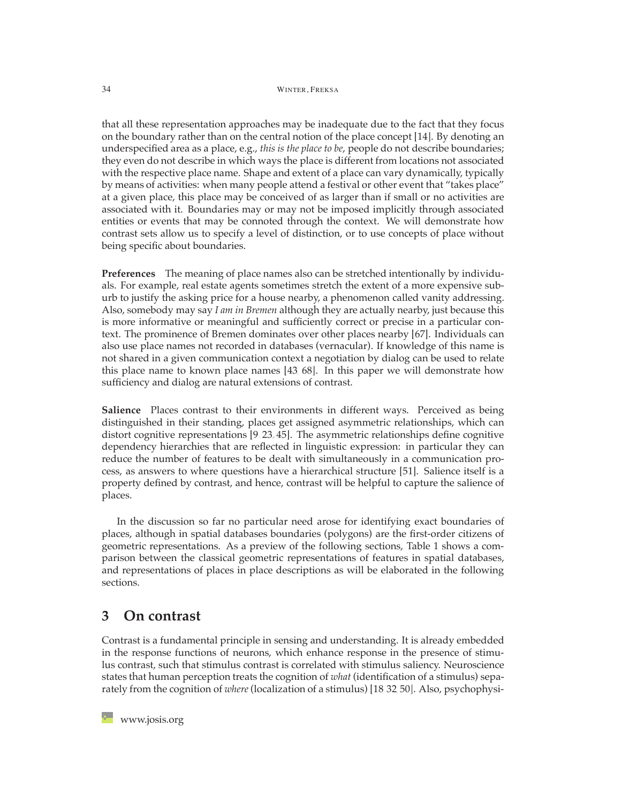that all these representation approaches may be inadequate due to the fact that they focus on the boundary rather than on the central notion of the place concept [\[14\]](#page-15-1). By denoting an underspecified area as a place, e.g., *this is the place to be*, people do not describe boundaries; they even do not describe in which ways the place is different from locations not associated with the respective place name. Shape and extent of a place can vary dynamically, typically by means of activities: when many people attend a festival or other event that "takes place" at a given place, this place may be conceived of as larger than if small or no activities are associated with it. Boundaries may or may not be imposed implicitly through associated entities or events that may be connoted through the context. We will demonstrate how contrast sets allow us to specify a level of distinction, or to use concepts of place without being specific about boundaries.

**Preferences** The meaning of place names also can be stretched intentionally by individuals. For example, real estate agents sometimes stretch the extent of a more expensive suburb to justify the asking price for a house nearby, a phenomenon called vanity addressing. Also, somebody may say *I am in Bremen* although they are actually nearby, just because this is more informative or meaningful and sufficiently correct or precise in a particular context. The prominence of Bremen dominates over other places nearby [\[67\]](#page-19-3). Individuals can also use place names not recorded in databases (vernacular). If knowledge of this name is not shared in a given communication context a negotiation by dialog can be used to relate this place name to known place names [\[43,](#page-17-3) [68\]](#page-19-0). In this paper we will demonstrate how sufficiency and dialog are natural extensions of contrast.

**Salience** Places contrast to their environments in different ways. Perceived as being distinguished in their standing, places get assigned asymmetric relationships, which can distort cognitive representations [\[9,](#page-15-6) [23,](#page-16-5) [45\]](#page-17-4). The asymmetric relationships define cognitive dependency hierarchies that are reflected in linguistic expression: in particular they can reduce the number of features to be dealt with simultaneously in a communication process, as answers to where questions have a hierarchical structure [\[51\]](#page-18-3). Salience itself is a property defined by contrast, and hence, contrast will be helpful to capture the salience of places.

In the discussion so far no particular need arose for identifying exact boundaries of places, although in spatial databases boundaries (polygons) are the first-order citizens of geometric representations. As a preview of the following sections, Table [1](#page-4-0) shows a comparison between the classical geometric representations of features in spatial databases, and representations of places in place descriptions as will be elaborated in the following sections.

# <span id="page-3-0"></span>**3 On contrast**

Contrast is a fundamental principle in sensing and understanding. It is already embedded in the response functions of neurons, which enhance response in the presence of stimulus contrast, such that stimulus contrast is correlated with stimulus saliency. Neuroscience states that human perception treats the cognition of *what* (identification of a stimulus) separately from the cognition of *where* (localization of a stimulus) [\[18,](#page-16-6)[32](#page-17-5)[,50\]](#page-18-4). Also, psychophysi-

**[www.josis.org](http://www.josis.org)**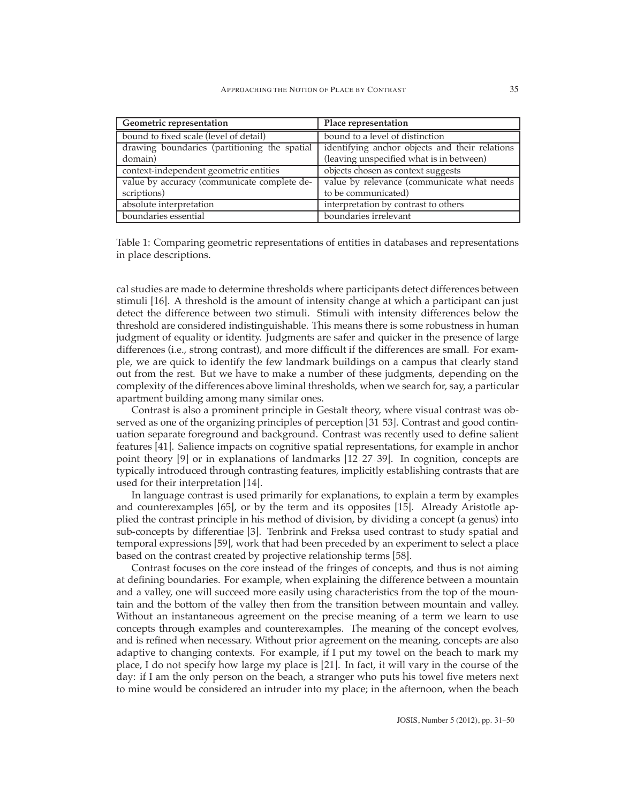| Geometric representation                                                                  | Place representation                           |  |
|-------------------------------------------------------------------------------------------|------------------------------------------------|--|
| bound to fixed scale (level of detail)                                                    | bound to a level of distinction                |  |
| drawing boundaries (partitioning the spatial                                              | identifying anchor objects and their relations |  |
| domain)                                                                                   | (leaving unspecified what is in between)       |  |
| context-independent geometric entities                                                    | objects chosen as context suggests             |  |
| value by relevance (communicate what needs<br>value by accuracy (communicate complete de- |                                                |  |
| scriptions)                                                                               | to be communicated)                            |  |
| absolute interpretation                                                                   | interpretation by contrast to others           |  |
| boundaries essential                                                                      | boundaries irrelevant                          |  |

<span id="page-4-0"></span>Table 1: Comparing geometric representations of entities in databases and representations in place descriptions.

cal studies are made to determine thresholds where participants detect differences between stimuli [\[16\]](#page-15-7). A threshold is the amount of intensity change at which a participant can just detect the difference between two stimuli. Stimuli with intensity differences below the threshold are considered indistinguishable. This means there is some robustness in human judgment of equality or identity. Judgments are safer and quicker in the presence of large differences (i.e., strong contrast), and more difficult if the differences are small. For example, we are quick to identify the few landmark buildings on a campus that clearly stand out from the rest. But we have to make a number of these judgments, depending on the complexity of the differences above liminal thresholds, when we search for, say, a particular apartment building among many similar ones.

Contrast is also a prominent principle in Gestalt theory, where visual contrast was observed as one of the organizing principles of perception [\[31,](#page-16-7) [53\]](#page-18-5). Contrast and good continuation separate foreground and background. Contrast was recently used to define salient features [\[41\]](#page-17-6). Salience impacts on cognitive spatial representations, for example in anchor point theory [\[9\]](#page-15-6) or in explanations of landmarks [\[12,](#page-15-8) [27,](#page-16-8) [39\]](#page-17-7). In cognition, concepts are typically introduced through contrasting features, implicitly establishing contrasts that are used for their interpretation [\[14\]](#page-15-1).

In language contrast is used primarily for explanations, to explain a term by examples and counterexamples [\[65\]](#page-19-4), or by the term and its opposites [\[15\]](#page-15-9). Already Aristotle applied the contrast principle in his method of division, by dividing a concept (a genus) into sub-concepts by differentiae [\[3\]](#page-15-10). Tenbrink and Freksa used contrast to study spatial and temporal expressions [\[59\]](#page-18-6), work that had been preceded by an experiment to select a place based on the contrast created by projective relationship terms [\[58\]](#page-18-7).

Contrast focuses on the core instead of the fringes of concepts, and thus is not aiming at defining boundaries. For example, when explaining the difference between a mountain and a valley, one will succeed more easily using characteristics from the top of the mountain and the bottom of the valley then from the transition between mountain and valley. Without an instantaneous agreement on the precise meaning of a term we learn to use concepts through examples and counterexamples. The meaning of the concept evolves, and is refined when necessary. Without prior agreement on the meaning, concepts are also adaptive to changing contexts. For example, if I put my towel on the beach to mark my place, I do not specify how large my place is [\[21\]](#page-16-9). In fact, it will vary in the course of the day: if I am the only person on the beach, a stranger who puts his towel five meters next to mine would be considered an intruder into my place; in the afternoon, when the beach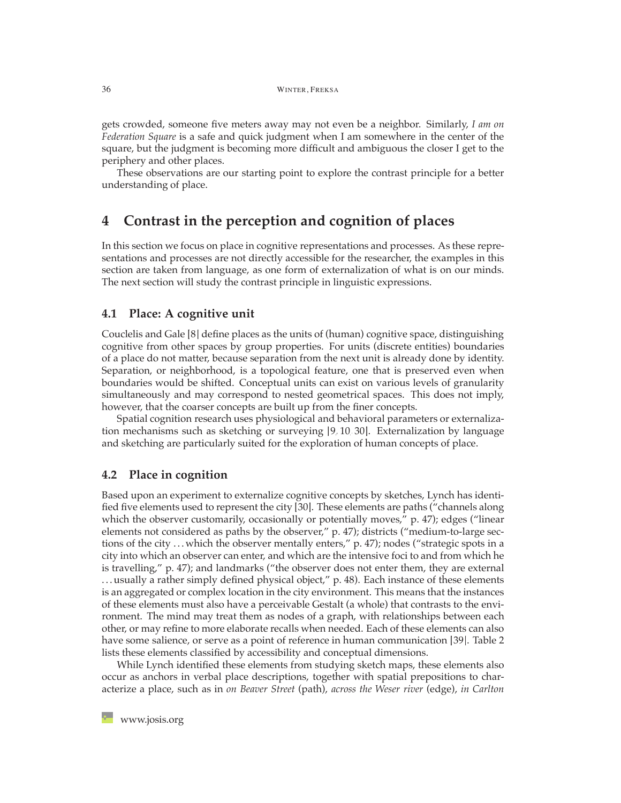gets crowded, someone five meters away may not even be a neighbor. Similarly, *I am on Federation Square* is a safe and quick judgment when I am somewhere in the center of the square, but the judgment is becoming more difficult and ambiguous the closer I get to the periphery and other places.

These observations are our starting point to explore the contrast principle for a better understanding of place.

# <span id="page-5-0"></span>**4 Contrast in the perception and cognition of places**

In this section we focus on place in cognitive representations and processes. As these representations and processes are not directly accessible for the researcher, the examples in this section are taken from language, as one form of externalization of what is on our minds. The next section will study the contrast principle in linguistic expressions.

#### **4.1 Place: A cognitive unit**

Couclelis and Gale [\[8\]](#page-15-11) define places as the units of (human) cognitive space, distinguishing cognitive from other spaces by group properties. For units (discrete entities) boundaries of a place do not matter, because separation from the next unit is already done by identity. Separation, or neighborhood, is a topological feature, one that is preserved even when boundaries would be shifted. Conceptual units can exist on various levels of granularity simultaneously and may correspond to nested geometrical spaces. This does not imply, however, that the coarser concepts are built up from the finer concepts.

Spatial cognition research uses physiological and behavioral parameters or externalization mechanisms such as sketching or surveying [\[9,](#page-15-6) [10,](#page-15-12) [30\]](#page-16-10). Externalization by language and sketching are particularly suited for the exploration of human concepts of place.

#### **4.2 Place in cognition**

Based upon an experiment to externalize cognitive concepts by sketches, Lynch has identified five elements used to represent the city [\[30\]](#page-16-10). These elements are paths ("channels along which the observer customarily, occasionally or potentially moves," p. 47); edges ("linear elements not considered as paths by the observer," p. 47); districts ("medium-to-large sections of the city . . . which the observer mentally enters," p. 47); nodes ("strategic spots in a city into which an observer can enter, and which are the intensive foci to and from which he is travelling," p. 47); and landmarks ("the observer does not enter them, they are external . . . usually a rather simply defined physical object," p. 48). Each instance of these elements is an aggregated or complex location in the city environment. This means that the instances of these elements must also have a perceivable Gestalt (a whole) that contrasts to the environment. The mind may treat them as nodes of a graph, with relationships between each other, or may refine to more elaborate recalls when needed. Each of these elements can also have some salience, or serve as a point of reference in human communication [\[39\]](#page-17-7). Table [2](#page-6-0) lists these elements classified by accessibility and conceptual dimensions.

While Lynch identified these elements from studying sketch maps, these elements also occur as anchors in verbal place descriptions, together with spatial prepositions to characterize a place, such as in *on Beaver Street* (path), *across the Weser river* (edge), *in Carlton*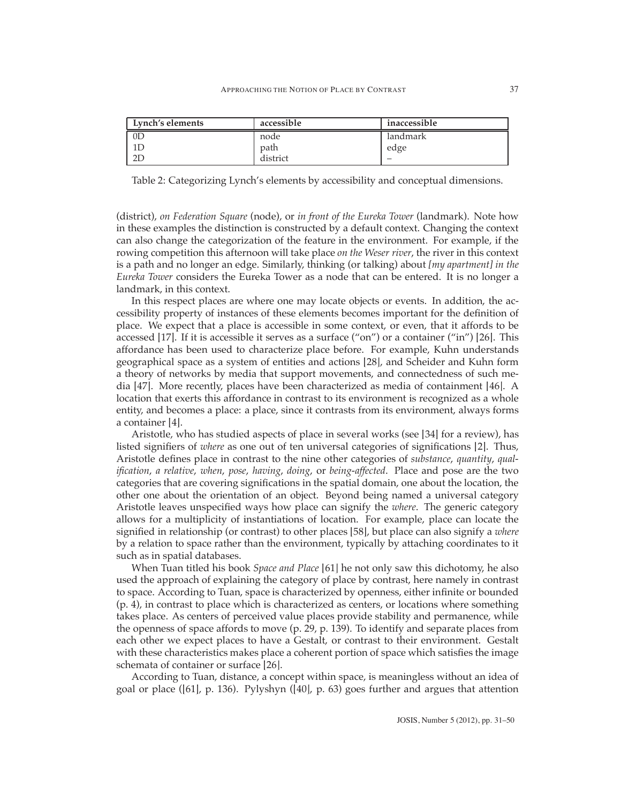| Lynch's elements | accessible | inaccessible             |
|------------------|------------|--------------------------|
| 0 <sup>2</sup>   | node       | landmark                 |
|                  | path       | edge                     |
| nг               | district   | $\overline{\phantom{a}}$ |

<span id="page-6-0"></span>Table 2: Categorizing Lynch's elements by accessibility and conceptual dimensions.

(district), *on Federation Square* (node), or *in front of the Eureka Tower* (landmark). Note how in these examples the distinction is constructed by a default context. Changing the context can also change the categorization of the feature in the environment. For example, if the rowing competition this afternoon will take place *on the Weser river*, the river in this context is a path and no longer an edge. Similarly, thinking (or talking) about *[my apartment] in the Eureka Tower* considers the Eureka Tower as a node that can be entered. It is no longer a landmark, in this context.

In this respect places are where one may locate objects or events. In addition, the accessibility property of instances of these elements becomes important for the definition of place. We expect that a place is accessible in some context, or even, that it affords to be accessed [\[17\]](#page-16-11). If it is accessible it serves as a surface ("on") or a container ("in") [\[26\]](#page-16-12). This affordance has been used to characterize place before. For example, Kuhn understands geographical space as a system of entities and actions [\[28\]](#page-16-13), and Scheider and Kuhn form a theory of networks by media that support movements, and connectedness of such media [\[47\]](#page-18-8). More recently, places have been characterized as media of containment [\[46\]](#page-18-9). A location that exerts this affordance in contrast to its environment is recognized as a whole entity, and becomes a place: a place, since it contrasts from its environment, always forms a container [\[4\]](#page-15-13).

Aristotle, who has studied aspects of place in several works (see [\[34\]](#page-17-8) for a review), has listed signifiers of *where* as one out of ten universal categories of significations [\[2\]](#page-15-14). Thus, Aristotle defines place in contrast to the nine other categories of *substance*, *quantity*, *qualification*, *a relative*, *when*, *pose*, *having*, *doing*, or *being-affected*. Place and pose are the two categories that are covering significations in the spatial domain, one about the location, the other one about the orientation of an object. Beyond being named a universal category Aristotle leaves unspecified ways how place can signify the *where*. The generic category allows for a multiplicity of instantiations of location. For example, place can locate the signified in relationship (or contrast) to other places [\[58\]](#page-18-7), but place can also signify a *where* by a relation to space rather than the environment, typically by attaching coordinates to it such as in spatial databases.

When Tuan titled his book *Space and Place* [\[61\]](#page-19-5) he not only saw this dichotomy, he also used the approach of explaining the category of place by contrast, here namely in contrast to space. According to Tuan, space is characterized by openness, either infinite or bounded (p. 4), in contrast to place which is characterized as centers, or locations where something takes place. As centers of perceived value places provide stability and permanence, while the openness of space affords to move (p. 29, p. 139). To identify and separate places from each other we expect places to have a Gestalt, or contrast to their environment. Gestalt with these characteristics makes place a coherent portion of space which satisfies the image schemata of container or surface [\[26\]](#page-16-12).

According to Tuan, distance, a concept within space, is meaningless without an idea of goal or place ([\[61\]](#page-19-5), p. 136). Pylyshyn ([\[40\]](#page-17-9), p. 63) goes further and argues that attention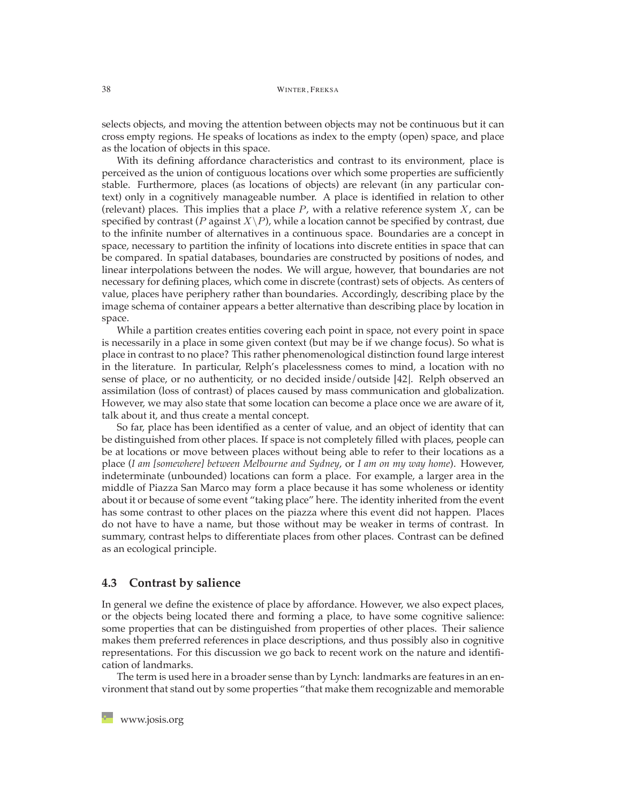selects objects, and moving the attention between objects may not be continuous but it can cross empty regions. He speaks of locations as index to the empty (open) space, and place as the location of objects in this space.

With its defining affordance characteristics and contrast to its environment, place is perceived as the union of contiguous locations over which some properties are sufficiently stable. Furthermore, places (as locations of objects) are relevant (in any particular context) only in a cognitively manageable number. A place is identified in relation to other (relevant) places. This implies that a place *P*, with a relative reference system *X*, can be specified by contrast (*P* against  $X\backslash P$ ), while a location cannot be specified by contrast, due to the infinite number of alternatives in a continuous space. Boundaries are a concept in space, necessary to partition the infinity of locations into discrete entities in space that can be compared. In spatial databases, boundaries are constructed by positions of nodes, and linear interpolations between the nodes. We will argue, however, that boundaries are not necessary for defining places, which come in discrete (contrast) sets of objects. As centers of value, places have periphery rather than boundaries. Accordingly, describing place by the image schema of container appears a better alternative than describing place by location in space.

While a partition creates entities covering each point in space, not every point in space is necessarily in a place in some given context (but may be if we change focus). So what is place in contrast to no place? This rather phenomenological distinction found large interest in the literature. In particular, Relph's placelessness comes to mind, a location with no sense of place, or no authenticity, or no decided inside/outside [\[42\]](#page-17-10). Relph observed an assimilation (loss of contrast) of places caused by mass communication and globalization. However, we may also state that some location can become a place once we are aware of it, talk about it, and thus create a mental concept.

So far, place has been identified as a center of value, and an object of identity that can be distinguished from other places. If space is not completely filled with places, people can be at locations or move between places without being able to refer to their locations as a place (*I am [somewhere] between Melbourne and Sydney*, or *I am on my way home*). However, indeterminate (unbounded) locations can form a place. For example, a larger area in the middle of Piazza San Marco may form a place because it has some wholeness or identity about it or because of some event "taking place" here. The identity inherited from the event has some contrast to other places on the piazza where this event did not happen. Places do not have to have a name, but those without may be weaker in terms of contrast. In summary, contrast helps to differentiate places from other places. Contrast can be defined as an ecological principle.

#### **4.3 Contrast by salience**

In general we define the existence of place by affordance. However, we also expect places, or the objects being located there and forming a place, to have some cognitive salience: some properties that can be distinguished from properties of other places. Their salience makes them preferred references in place descriptions, and thus possibly also in cognitive representations. For this discussion we go back to recent work on the nature and identification of landmarks.

The term is used here in a broader sense than by Lynch: landmarks are features in an environment that stand out by some properties "that make them recognizable and memorable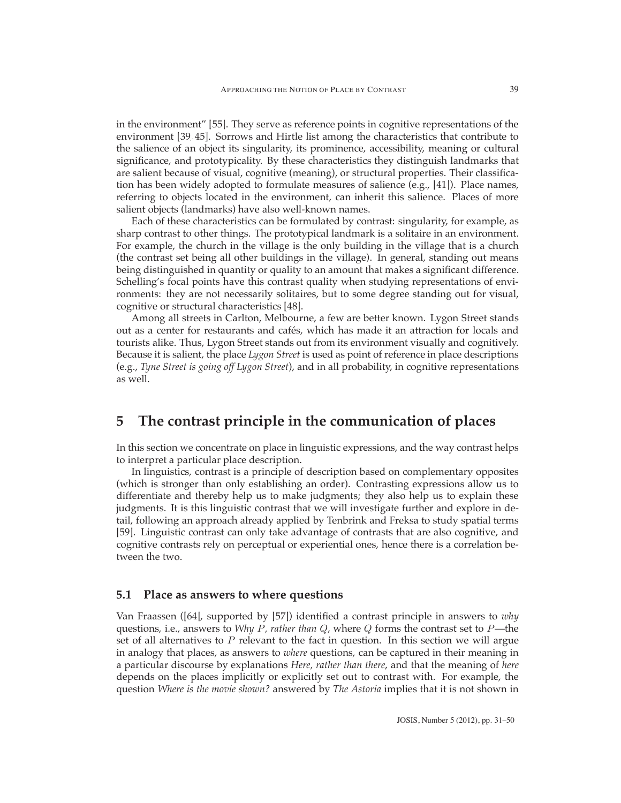in the environment" [\[55\]](#page-18-10). They serve as reference points in cognitive representations of the environment [\[39,](#page-17-7) [45\]](#page-17-4). Sorrows and Hirtle list among the characteristics that contribute to the salience of an object its singularity, its prominence, accessibility, meaning or cultural significance, and prototypicality. By these characteristics they distinguish landmarks that are salient because of visual, cognitive (meaning), or structural properties. Their classification has been widely adopted to formulate measures of salience (e.g., [\[41\]](#page-17-6)). Place names, referring to objects located in the environment, can inherit this salience. Places of more salient objects (landmarks) have also well-known names.

Each of these characteristics can be formulated by contrast: singularity, for example, as sharp contrast to other things. The prototypical landmark is a solitaire in an environment. For example, the church in the village is the only building in the village that is a church (the contrast set being all other buildings in the village). In general, standing out means being distinguished in quantity or quality to an amount that makes a significant difference. Schelling's focal points have this contrast quality when studying representations of environments: they are not necessarily solitaires, but to some degree standing out for visual, cognitive or structural characteristics [\[48\]](#page-18-11).

Among all streets in Carlton, Melbourne, a few are better known. Lygon Street stands out as a center for restaurants and cafés, which has made it an attraction for locals and tourists alike. Thus, Lygon Street stands out from its environment visually and cognitively. Because it is salient, the place *Lygon Street* is used as point of reference in place descriptions (e.g., *Tyne Street is going off Lygon Street*), and in all probability, in cognitive representations as well.

# <span id="page-8-0"></span>**5 The contrast principle in the communication of places**

In this section we concentrate on place in linguistic expressions, and the way contrast helps to interpret a particular place description.

In linguistics, contrast is a principle of description based on complementary opposites (which is stronger than only establishing an order). Contrasting expressions allow us to differentiate and thereby help us to make judgments; they also help us to explain these judgments. It is this linguistic contrast that we will investigate further and explore in detail, following an approach already applied by Tenbrink and Freksa to study spatial terms [\[59\]](#page-18-6). Linguistic contrast can only take advantage of contrasts that are also cognitive, and cognitive contrasts rely on perceptual or experiential ones, hence there is a correlation between the two.

#### **5.1 Place as answers to where questions**

Van Fraassen ([\[64\]](#page-19-6), supported by [\[57\]](#page-18-12)) identified a contrast principle in answers to *why* questions, i.e., answers to *Why P, rather than Q*, where *Q* forms the contrast set to *P*—the set of all alternatives to *P* relevant to the fact in question. In this section we will argue in analogy that places, as answers to *where* questions, can be captured in their meaning in a particular discourse by explanations *Here, rather than there*, and that the meaning of *here* depends on the places implicitly or explicitly set out to contrast with. For example, the question *Where is the movie shown?* answered by *The Astoria* implies that it is not shown in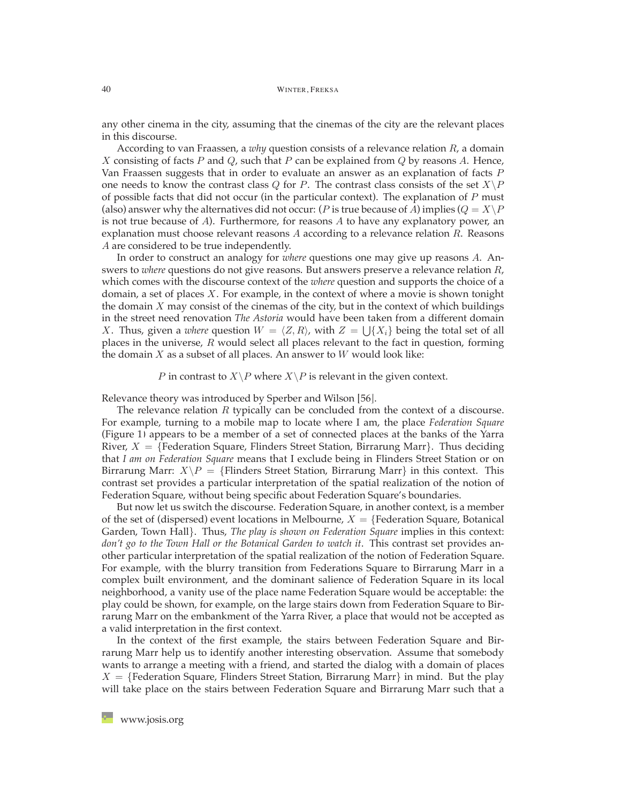any other cinema in the city, assuming that the cinemas of the city are the relevant places in this discourse.

According to van Fraassen, a *why* question consists of a relevance relation *R*, a domain *X* consisting of facts *P* and *Q*, such that *P* can be explained from *Q* by reasons *A*. Hence, Van Fraassen suggests that in order to evaluate an answer as an explanation of facts *P* one needs to know the contrast class *Q* for *P*. The contrast class consists of the set  $X \backslash P$ of possible facts that did not occur (in the particular context). The explanation of *P* must (also) answer why the alternatives did not occur: (*P* is true because of *A*) implies ( $Q = X\backslash P$ is not true because of *A*). Furthermore, for reasons *A* to have any explanatory power, an explanation must choose relevant reasons *A* according to a relevance relation *R*. Reasons *A* are considered to be true independently.

In order to construct an analogy for *where* questions one may give up reasons *A*. Answers to *where* questions do not give reasons. But answers preserve a relevance relation *R*, which comes with the discourse context of the *where* question and supports the choice of a domain, a set of places *X*. For example, in the context of where a movie is shown tonight the domain *X* may consist of the cinemas of the city, but in the context of which buildings in the street need renovation *The Astoria* would have been taken from a different domain *X*. Thus, given a *where* question  $W = \langle Z, R \rangle$ , with  $Z = \bigcup \{X_i\}$  being the total set of all places in the universe, *R* would select all places relevant to the fact in question, forming the domain *X* as a subset of all places. An answer to *W* would look like:

#### *P* in contrast to *X* \ *P* where *X* \ *P* is relevant in the given context.

Relevance theory was introduced by Sperber and Wilson [\[56\]](#page-18-13).

The relevance relation *R* typically can be concluded from the context of a discourse. For example, turning to a mobile map to locate where I am, the place *Federation Square* (Figure [1\)](#page-10-0) appears to be a member of a set of connected places at the banks of the Yarra River,  $X = \{Federation Square, Flinders Street Station, Birrarung Marr\}.$  Thus deciding that *I am on Federation Square* means that I exclude being in Flinders Street Station or on Birrarung Marr:  $X \backslash P = \{ \text{Flinders Street Station, Birrarung Marr} \}$  in this context. This contrast set provides a particular interpretation of the spatial realization of the notion of Federation Square, without being specific about Federation Square's boundaries.

But now let us switch the discourse. Federation Square, in another context, is a member of the set of (dispersed) event locations in Melbourne,  $X = \{Federation Square, Botanical$ Garden, Town Hall}. Thus, *The play is shown on Federation Square* implies in this context: don't go to the Town Hall or the Botanical Garden to watch it. This contrast set provides another particular interpretation of the spatial realization of the notion of Federation Square. For example, with the blurry transition from Federations Square to Birrarung Marr in a complex built environment, and the dominant salience of Federation Square in its local neighborhood, a vanity use of the place name Federation Square would be acceptable: the play could be shown, for example, on the large stairs down from Federation Square to Birrarung Marr on the embankment of the Yarra River, a place that would not be accepted as a valid interpretation in the first context.

In the context of the first example, the stairs between Federation Square and Birrarung Marr help us to identify another interesting observation. Assume that somebody wants to arrange a meeting with a friend, and started the dialog with a domain of places  $X = \{Federation Square, Flinders Street Station, Birrarung Marr\}$  in mind. But the play will take place on the stairs between Federation Square and Birrarung Marr such that a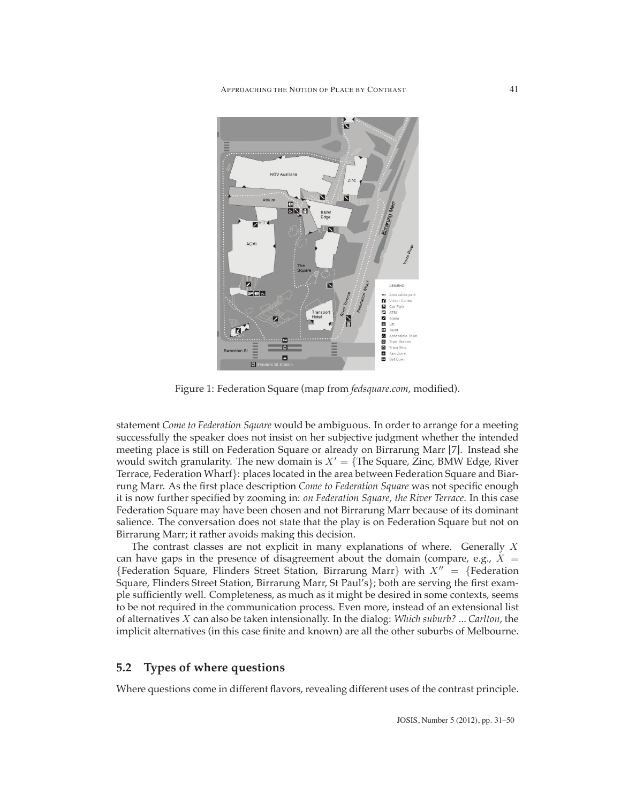

Figure 1: Federation Square (map from *fedsquare.com*, modified).

<span id="page-10-0"></span>statement *Come to Federation Square* would be ambiguous. In order to arrange for a meeting successfully the speaker does not insist on her subjective judgment whether the intended meeting place is still on Federation Square or already on Birrarung Marr [\[7\]](#page-15-2). Instead she would switch granularity. The new domain is  $X' = \{$  The Square, Zinc, BMW Edge, River Terrace, Federation Wharf}: places located in the area between Federation Square and Biarrung Marr. As the first place description *Come to Federation Square* was not specific enough it is now further specified by zooming in: *on Federation Square, the River Terrace*. In this case Federation Square may have been chosen and not Birrarung Marr because of its dominant salience. The conversation does not state that the play is on Federation Square but not on Birrarung Marr; it rather avoids making this decision.

The contrast classes are not explicit in many explanations of where. Generally *X* can have gaps in the presence of disagreement about the domain (compare, e.g.,  $X =$ {Federation Square, Flinders Street Station, Birrarung Marr} with  $X'' = \{Federation$ Square, Flinders Street Station, Birrarung Marr, St Paul's}; both are serving the first example sufficiently well. Completeness, as much as it might be desired in some contexts, seems to be not required in the communication process. Even more, instead of an extensional list of alternatives *X* can also be taken intensionally. In the dialog: *Which suburb?* ... *Carlton*, the implicit alternatives (in this case finite and known) are all the other suburbs of Melbourne.

#### **5.2 Types of where questions**

Where questions come in different flavors, revealing different uses of the contrast principle.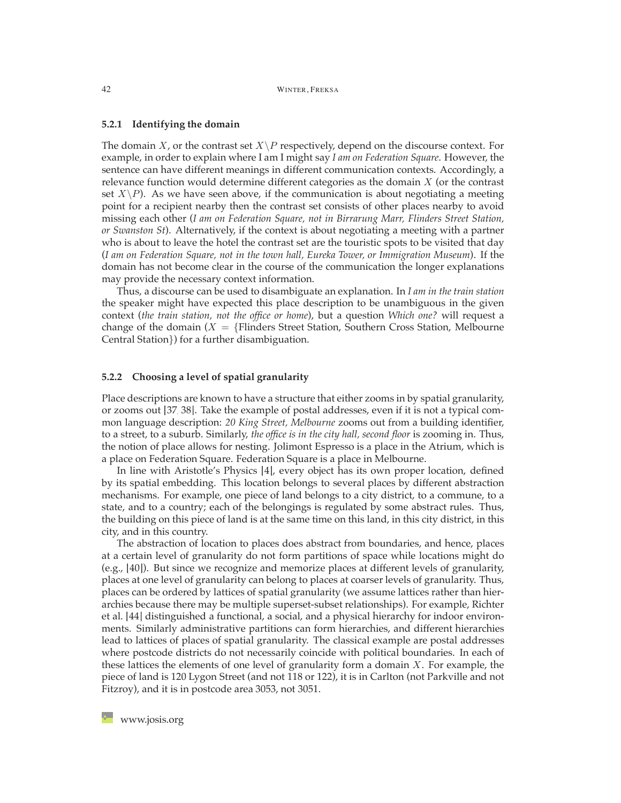#### **5.2.1 Identifying the domain**

The domain *X*, or the contrast set  $X \backslash P$  respectively, depend on the discourse context. For example, in order to explain where I am I might say *I am on Federation Square*. However, the sentence can have different meanings in different communication contexts. Accordingly, a relevance function would determine different categories as the domain *X* (or the contrast set  $X\backslash P$ ). As we have seen above, if the communication is about negotiating a meeting point for a recipient nearby then the contrast set consists of other places nearby to avoid missing each other (*I am on Federation Square, not in Birrarung Marr, Flinders Street Station, or Swanston St*). Alternatively, if the context is about negotiating a meeting with a partner who is about to leave the hotel the contrast set are the touristic spots to be visited that day (*I am on Federation Square, not in the town hall, Eureka Tower, or Immigration Museum*). If the domain has not become clear in the course of the communication the longer explanations may provide the necessary context information.

Thus, a discourse can be used to disambiguate an explanation. In *I am in the train station* the speaker might have expected this place description to be unambiguous in the given context (*the train station, not the office or home*), but a question *Which one?* will request a change of the domain  $(X = \{ \text{Flinders Street Station, Southern Cross Station, Melbourne} \} )$ Central Station}) for a further disambiguation.

#### **5.2.2 Choosing a level of spatial granularity**

Place descriptions are known to have a structure that either zooms in by spatial granularity, or zooms out [\[37,](#page-17-11) [38\]](#page-17-12). Take the example of postal addresses, even if it is not a typical common language description: *20 King Street, Melbourne* zooms out from a building identifier, to a street, to a suburb. Similarly, *the office is in the city hall, second floor* is zooming in. Thus, the notion of place allows for nesting. Jolimont Espresso is a place in the Atrium, which is a place on Federation Square. Federation Square is a place in Melbourne.

In line with Aristotle's Physics [\[4\]](#page-15-13), every object has its own proper location, defined by its spatial embedding. This location belongs to several places by different abstraction mechanisms. For example, one piece of land belongs to a city district, to a commune, to a state, and to a country; each of the belongings is regulated by some abstract rules. Thus, the building on this piece of land is at the same time on this land, in this city district, in this city, and in this country.

The abstraction of location to places does abstract from boundaries, and hence, places at a certain level of granularity do not form partitions of space while locations might do (e.g., [\[40\]](#page-17-9)). But since we recognize and memorize places at different levels of granularity, places at one level of granularity can belong to places at coarser levels of granularity. Thus, places can be ordered by lattices of spatial granularity (we assume lattices rather than hierarchies because there may be multiple superset-subset relationships). For example, Richter et al. [\[44\]](#page-17-13) distinguished a functional, a social, and a physical hierarchy for indoor environments. Similarly administrative partitions can form hierarchies, and different hierarchies lead to lattices of places of spatial granularity. The classical example are postal addresses where postcode districts do not necessarily coincide with political boundaries. In each of these lattices the elements of one level of granularity form a domain *X*. For example, the piece of land is 120 Lygon Street (and not 118 or 122), it is in Carlton (not Parkville and not Fitzroy), and it is in postcode area 3053, not 3051.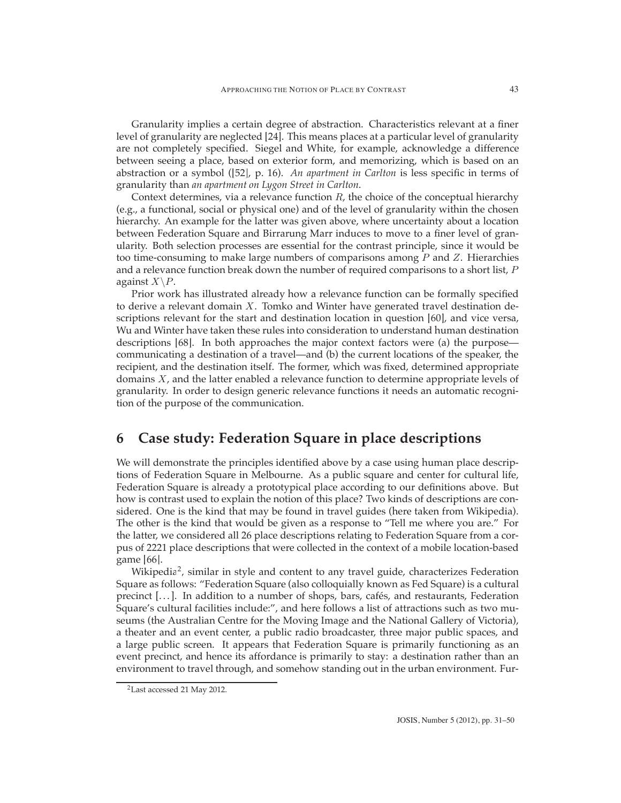Granularity implies a certain degree of abstraction. Characteristics relevant at a finer level of granularity are neglected [\[24\]](#page-16-14). This means places at a particular level of granularity are not completely specified. Siegel and White, for example, acknowledge a difference between seeing a place, based on exterior form, and memorizing, which is based on an abstraction or a symbol ([\[52\]](#page-18-14), p. 16). *An apartment in Carlton* is less specific in terms of granularity than *an apartment on Lygon Street in Carlton*.

Context determines, via a relevance function *R*, the choice of the conceptual hierarchy (e.g., a functional, social or physical one) and of the level of granularity within the chosen hierarchy. An example for the latter was given above, where uncertainty about a location between Federation Square and Birrarung Marr induces to move to a finer level of granularity. Both selection processes are essential for the contrast principle, since it would be too time-consuming to make large numbers of comparisons among *P* and *Z*. Hierarchies and a relevance function break down the number of required comparisons to a short list, *P* against  $X \backslash P$ .

Prior work has illustrated already how a relevance function can be formally specified to derive a relevant domain *X*. Tomko and Winter have generated travel destination descriptions relevant for the start and destination location in question [\[60\]](#page-18-1), and vice versa, Wu and Winter have taken these rules into consideration to understand human destination descriptions [\[68\]](#page-19-0). In both approaches the major context factors were (a) the purpose communicating a destination of a travel—and (b) the current locations of the speaker, the recipient, and the destination itself. The former, which was fixed, determined appropriate domains *X*, and the latter enabled a relevance function to determine appropriate levels of granularity. In order to design generic relevance functions it needs an automatic recognition of the purpose of the communication.

# <span id="page-12-0"></span>**6 Case study: Federation Square in place descriptions**

We will demonstrate the principles identified above by a case using human place descriptions of Federation Square in Melbourne. As a public square and center for cultural life, Federation Square is already a prototypical place according to our definitions above. But how is contrast used to explain the notion of this place? Two kinds of descriptions are considered. One is the kind that may be found in travel guides (here taken from Wikipedia). The other is the kind that would be given as a response to "Tell me where you are." For the latter, we considered all 26 place descriptions relating to Federation Square from a corpus of 2221 place descriptions that were collected in the context of a mobile location-based game [\[66\]](#page-19-7).

Wikipedia<sup>[2](#page-12-1)</sup>, similar in style and content to any travel guide, characterizes Federation Square as follows: "Federation Square (also colloquially known as Fed Square) is a cultural precinct  $[\ldots]$ . In addition to a number of shops, bars, cafés, and restaurants, Federation Square's cultural facilities include:", and here follows a list of attractions such as two museums (the Australian Centre for the Moving Image and the National Gallery of Victoria), a theater and an event center, a public radio broadcaster, three major public spaces, and a large public screen. It appears that Federation Square is primarily functioning as an event precinct, and hence its affordance is primarily to stay: a destination rather than an environment to travel through, and somehow standing out in the urban environment. Fur-

<span id="page-12-1"></span><sup>2</sup>Last accessed 21 May 2012.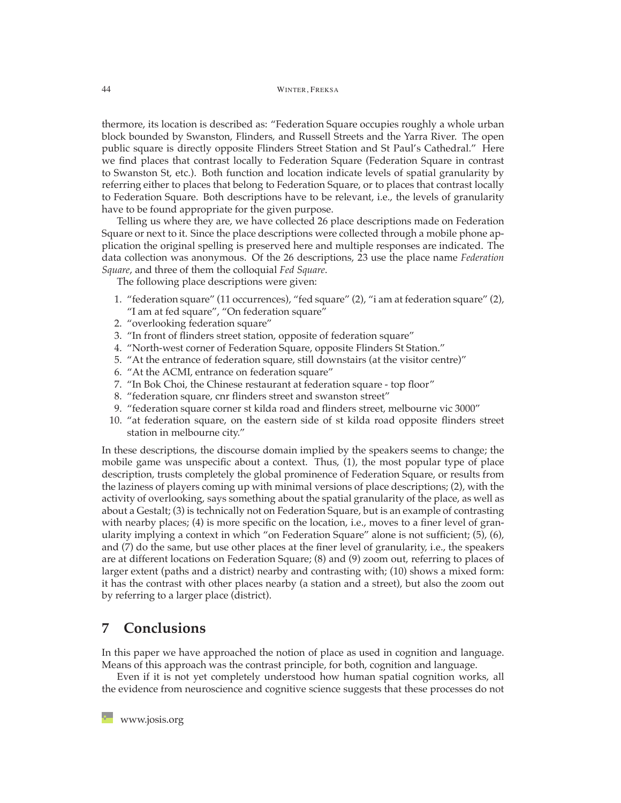thermore, its location is described as: "Federation Square occupies roughly a whole urban block bounded by Swanston, Flinders, and Russell Streets and the Yarra River. The open public square is directly opposite Flinders Street Station and St Paul's Cathedral." Here we find places that contrast locally to Federation Square (Federation Square in contrast to Swanston St, etc.). Both function and location indicate levels of spatial granularity by referring either to places that belong to Federation Square, or to places that contrast locally to Federation Square. Both descriptions have to be relevant, i.e., the levels of granularity have to be found appropriate for the given purpose.

Telling us where they are, we have collected 26 place descriptions made on Federation Square or next to it. Since the place descriptions were collected through a mobile phone application the original spelling is preserved here and multiple responses are indicated. The data collection was anonymous. Of the 26 descriptions, 23 use the place name *Federation Square*, and three of them the colloquial *Fed Square*.

The following place descriptions were given:

- 1. "federation square" (11 occurrences), "fed square" (2), "i am at federation square" (2), "I am at fed square", "On federation square"
- 2. "overlooking federation square"
- 3. "In front of flinders street station, opposite of federation square"
- 4. "North-west corner of Federation Square, opposite Flinders St Station."
- 5. "At the entrance of federation square, still downstairs (at the visitor centre)"
- 6. "At the ACMI, entrance on federation square"
- 7. "In Bok Choi, the Chinese restaurant at federation square top floor"
- 8. "federation square, cnr flinders street and swanston street"
- 9. "federation square corner st kilda road and flinders street, melbourne vic 3000"
- 10. "at federation square, on the eastern side of st kilda road opposite flinders street station in melbourne city."

In these descriptions, the discourse domain implied by the speakers seems to change; the mobile game was unspecific about a context. Thus, (1), the most popular type of place description, trusts completely the global prominence of Federation Square, or results from the laziness of players coming up with minimal versions of place descriptions; (2), with the activity of overlooking, says something about the spatial granularity of the place, as well as about a Gestalt; (3) is technically not on Federation Square, but is an example of contrasting with nearby places; (4) is more specific on the location, i.e., moves to a finer level of granularity implying a context in which "on Federation Square" alone is not sufficient; (5), (6), and (7) do the same, but use other places at the finer level of granularity, i.e., the speakers are at different locations on Federation Square; (8) and (9) zoom out, referring to places of larger extent (paths and a district) nearby and contrasting with; (10) shows a mixed form: it has the contrast with other places nearby (a station and a street), but also the zoom out by referring to a larger place (district).

# <span id="page-13-0"></span>**7 Conclusions**

In this paper we have approached the notion of place as used in cognition and language. Means of this approach was the contrast principle, for both, cognition and language.

Even if it is not yet completely understood how human spatial cognition works, all the evidence from neuroscience and cognitive science suggests that these processes do not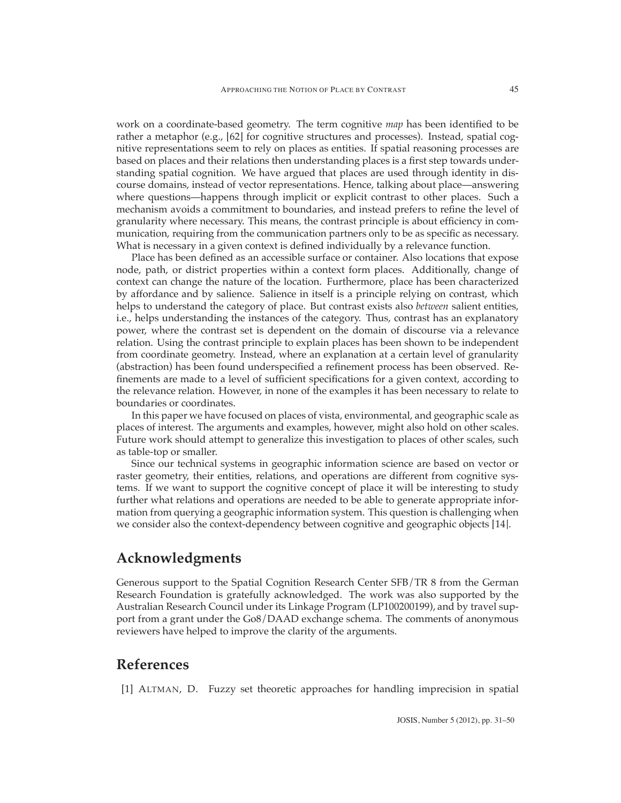work on a coordinate-based geometry. The term cognitive *map* has been identified to be rather a metaphor (e.g., [\[62\]](#page-19-8) for cognitive structures and processes). Instead, spatial cognitive representations seem to rely on places as entities. If spatial reasoning processes are based on places and their relations then understanding places is a first step towards understanding spatial cognition. We have argued that places are used through identity in discourse domains, instead of vector representations. Hence, talking about place—answering where questions—happens through implicit or explicit contrast to other places. Such a mechanism avoids a commitment to boundaries, and instead prefers to refine the level of granularity where necessary. This means, the contrast principle is about efficiency in communication, requiring from the communication partners only to be as specific as necessary. What is necessary in a given context is defined individually by a relevance function.

Place has been defined as an accessible surface or container. Also locations that expose node, path, or district properties within a context form places. Additionally, change of context can change the nature of the location. Furthermore, place has been characterized by affordance and by salience. Salience in itself is a principle relying on contrast, which helps to understand the category of place. But contrast exists also *between* salient entities, i.e., helps understanding the instances of the category. Thus, contrast has an explanatory power, where the contrast set is dependent on the domain of discourse via a relevance relation. Using the contrast principle to explain places has been shown to be independent from coordinate geometry. Instead, where an explanation at a certain level of granularity (abstraction) has been found underspecified a refinement process has been observed. Refinements are made to a level of sufficient specifications for a given context, according to the relevance relation. However, in none of the examples it has been necessary to relate to boundaries or coordinates.

In this paper we have focused on places of vista, environmental, and geographic scale as places of interest. The arguments and examples, however, might also hold on other scales. Future work should attempt to generalize this investigation to places of other scales, such as table-top or smaller.

Since our technical systems in geographic information science are based on vector or raster geometry, their entities, relations, and operations are different from cognitive systems. If we want to support the cognitive concept of place it will be interesting to study further what relations and operations are needed to be able to generate appropriate information from querying a geographic information system. This question is challenging when we consider also the context-dependency between cognitive and geographic objects [\[14\]](#page-15-1).

# **Acknowledgments**

Generous support to the Spatial Cognition Research Center SFB/TR 8 from the German Research Foundation is gratefully acknowledged. The work was also supported by the Australian Research Council under its Linkage Program (LP100200199), and by travel support from a grant under the Go8/DAAD exchange schema. The comments of anonymous reviewers have helped to improve the clarity of the arguments.

# <span id="page-14-0"></span>**References**

[1] ALTMAN, D. Fuzzy set theoretic approaches for handling imprecision in spatial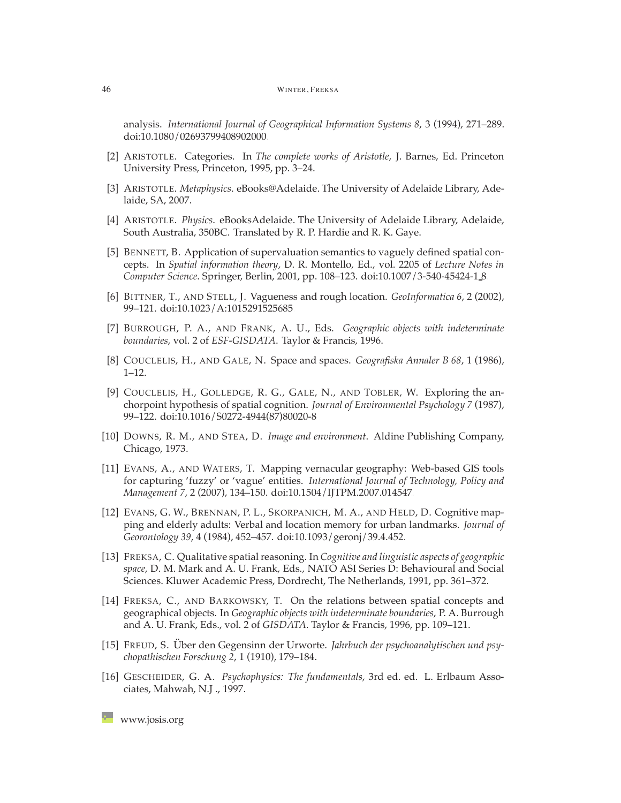analysis. *International Journal of Geographical Information Systems 8*, 3 (1994), 271–289. [doi:10.1080/02693799408902000.](http://dx.doi.org/10.1080/02693799408902000)

- <span id="page-15-14"></span>[2] ARISTOTLE. Categories. In *The complete works of Aristotle*, J. Barnes, Ed. Princeton University Press, Princeton, 1995, pp. 3–24.
- <span id="page-15-13"></span><span id="page-15-10"></span>[3] ARISTOTLE. *Metaphysics*. eBooks@Adelaide. The University of Adelaide Library, Adelaide, SA, 2007.
- [4] ARISTOTLE. *Physics*. eBooksAdelaide. The University of Adelaide Library, Adelaide, South Australia, 350BC. Translated by R. P. Hardie and R. K. Gaye.
- <span id="page-15-4"></span>[5] BENNETT, B. Application of supervaluation semantics to vaguely defined spatial concepts. In *Spatial information theory*, D. R. Montello, Ed., vol. 2205 of *Lecture Notes in Computer Science*. Springer, Berlin, 2001, pp. 108–123. [doi:10.1007/3-540-45424-1](http://dx.doi.org/10.1007/3-540-45424-1_8) 8.
- <span id="page-15-3"></span><span id="page-15-2"></span>[6] BITTNER, T., AND STELL, J. Vagueness and rough location. *GeoInformatica 6*, 2 (2002), 99–121. [doi:10.1023/A:1015291525685.](http://dx.doi.org/10.1023/A:1015291525685)
- [7] BURROUGH, P. A., AND FRANK, A. U., Eds. *Geographic objects with indeterminate boundaries*, vol. 2 of *ESF-GISDATA*. Taylor & Francis, 1996.
- <span id="page-15-11"></span><span id="page-15-6"></span>[8] COUCLELIS, H., AND GALE, N. Space and spaces. *Geografiska Annaler B 68*, 1 (1986), 1–12.
- [9] COUCLELIS, H., GOLLEDGE, R. G., GALE, N., AND TOBLER, W. Exploring the anchorpoint hypothesis of spatial cognition. *Journal of Environmental Psychology 7* (1987), 99–122. [doi:10.1016/S0272-4944\(87\)80020-8.](http://dx.doi.org/10.1016/S0272-4944(87)80020-8)
- <span id="page-15-12"></span>[10] DOWNS, R. M., AND STEA, D. *Image and environment*. Aldine Publishing Company, Chicago, 1973.
- <span id="page-15-5"></span>[11] EVANS, A., AND WATERS, T. Mapping vernacular geography: Web-based GIS tools for capturing 'fuzzy' or 'vague' entities. *International Journal of Technology, Policy and Management 7*, 2 (2007), 134–150. [doi:10.1504/IJTPM.2007.014547.](http://dx.doi.org/10.1504/IJTPM.2007.014547)
- <span id="page-15-8"></span>[12] EVANS, G. W., BRENNAN, P. L., SKORPANICH, M. A., AND HELD, D. Cognitive mapping and elderly adults: Verbal and location memory for urban landmarks. *Journal of Georontology 39*, 4 (1984), 452–457. [doi:10.1093/geronj/39.4.452.](http://dx.doi.org/10.1093/geronj/39.4.452)
- <span id="page-15-0"></span>[13] FREKSA, C. Qualitative spatial reasoning. In *Cognitive and linguistic aspects of geographic space*, D. M. Mark and A. U. Frank, Eds., NATO ASI Series D: Behavioural and Social Sciences. Kluwer Academic Press, Dordrecht, The Netherlands, 1991, pp. 361–372.
- <span id="page-15-1"></span>[14] FREKSA, C., AND BARKOWSKY, T. On the relations between spatial concepts and geographical objects. In *Geographic objects with indeterminate boundaries*, P. A. Burrough and A. U. Frank, Eds., vol. 2 of *GISDATA*. Taylor & Francis, 1996, pp. 109–121.
- <span id="page-15-9"></span>[15] FREUD, S. Über den Gegensinn der Urworte. Jahrbuch der psychoanalytischen und psy*chopathischen Forschung 2*, 1 (1910), 179–184.
- <span id="page-15-7"></span>[16] GESCHEIDER, G. A. *Psychophysics: The fundamentals*, 3rd ed. ed. L. Erlbaum Associates, Mahwah, N.J ., 1997.

**[www.josis.org](http://www.josis.org)**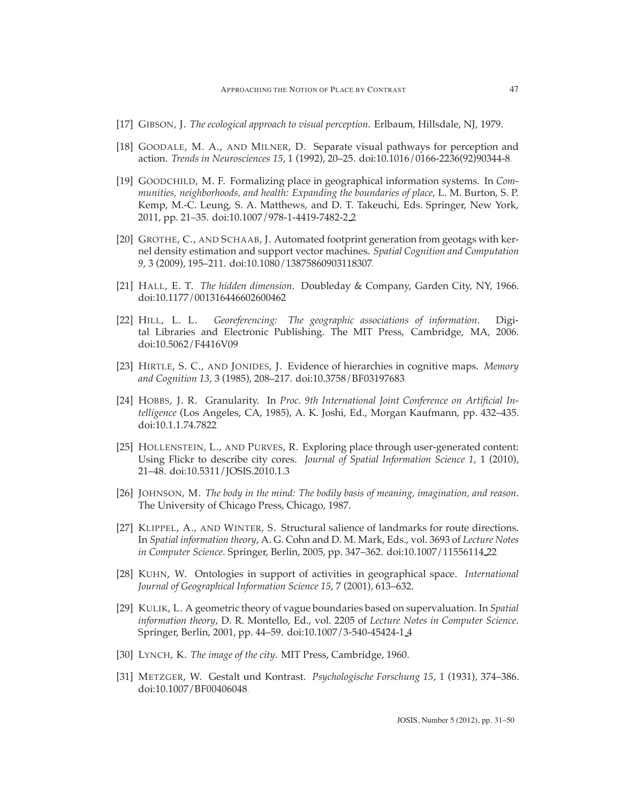- <span id="page-16-11"></span><span id="page-16-6"></span>[17] GIBSON, J. *The ecological approach to visual perception*. Erlbaum, Hillsdale, NJ, 1979.
- [18] GOODALE, M. A., AND MILNER, D. Separate visual pathways for perception and action. *Trends in Neurosciences 15*, 1 (1992), 20–25. [doi:10.1016/0166-2236\(92\)90344-8.](http://dx.doi.org/10.1016/0166-2236(92)90344-8)
- <span id="page-16-0"></span>[19] GOODCHILD, M. F. Formalizing place in geographical information systems. In *Communities, neighborhoods, and health: Expanding the boundaries of place*, L. M. Burton, S. P. Kemp, M.-C. Leung, S. A. Matthews, and D. T. Takeuchi, Eds. Springer, New York, 2011, pp. 21–35. [doi:10.1007/978-1-4419-7482-2](http://dx.doi.org/10.1007/978-1-4419-7482-2_2) 2.
- <span id="page-16-3"></span>[20] GROTHE, C., AND SCHAAB, J. Automated footprint generation from geotags with kernel density estimation and support vector machines. *Spatial Cognition and Computation 9*, 3 (2009), 195–211. [doi:10.1080/13875860903118307.](http://dx.doi.org/10.1080/13875860903118307)
- <span id="page-16-9"></span>[21] HALL, E. T. *The hidden dimension*. Doubleday & Company, Garden City, NY, 1966. [doi:10.1177/001316446602600462.](http://dx.doi.org/10.1177/001316446602600462)
- <span id="page-16-1"></span>[22] HILL, L. L. *Georeferencing: The geographic associations of information*. Digital Libraries and Electronic Publishing. The MIT Press, Cambridge, MA, 2006. [doi:10.5062/F4416V09.](http://dx.doi.org/10.5062/F4416V09)
- <span id="page-16-5"></span>[23] HIRTLE, S. C., AND JONIDES, J. Evidence of hierarchies in cognitive maps. *Memory and Cognition 13*, 3 (1985), 208–217. [doi:10.3758/BF03197683.](http://dx.doi.org/10.3758/BF03197683)
- <span id="page-16-14"></span>[24] HOBBS, J. R. Granularity. In *Proc. 9th International Joint Conference on Artificial Intelligence* (Los Angeles, CA, 1985), A. K. Joshi, Ed., Morgan Kaufmann, pp. 432–435. [doi:10.1.1.74.7822.](http://dx.doi.org/10.1.1.74.7822)
- <span id="page-16-4"></span>[25] HOLLENSTEIN, L., AND PURVES, R. Exploring place through user-generated content: Using Flickr to describe city cores. *Journal of Spatial Information Science 1*, 1 (2010), 21–48. [doi:10.5311/JOSIS.2010.1.3.](http://dx.doi.org/10.5311/JOSIS.2010.1.3)
- <span id="page-16-12"></span>[26] JOHNSON, M. *The body in the mind: The bodily basis of meaning, imagination, and reason*. The University of Chicago Press, Chicago, 1987.
- <span id="page-16-8"></span>[27] KLIPPEL, A., AND WINTER, S. Structural salience of landmarks for route directions. In *Spatial information theory*, A. G. Cohn and D. M. Mark, Eds., vol. 3693 of *Lecture Notes in Computer Science*. Springer, Berlin, 2005, pp. 347–362. [doi:10.1007/11556114](http://dx.doi.org/10.1007/11556114_22) 22.
- <span id="page-16-13"></span>[28] KUHN, W. Ontologies in support of activities in geographical space. *International Journal of Geographical Information Science 15*, 7 (2001), 613–632.
- <span id="page-16-2"></span>[29] KULIK, L. A geometric theory of vague boundaries based on supervaluation. In *Spatial information theory*, D. R. Montello, Ed., vol. 2205 of *Lecture Notes in Computer Science*. Springer, Berlin, 2001, pp. 44–59. [doi:10.1007/3-540-45424-1](http://dx.doi.org/10.1007/3-540-45424-1_4) 4.
- <span id="page-16-10"></span><span id="page-16-7"></span>[30] LYNCH, K. *The image of the city*. MIT Press, Cambridge, 1960.
- [31] METZGER, W. Gestalt und Kontrast. *Psychologische Forschung 15*, 1 (1931), 374–386. [doi:10.1007/BF00406048.](http://dx.doi.org/10.1007/BF00406048)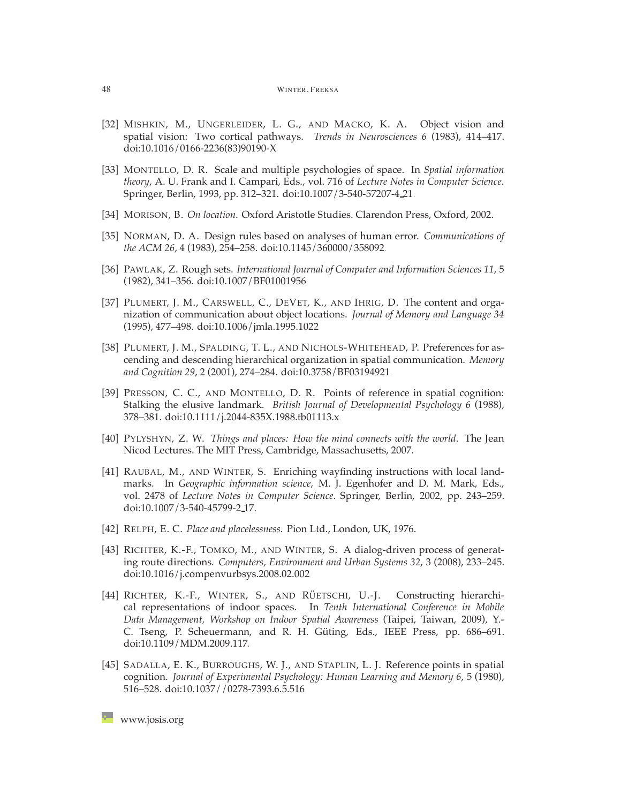- <span id="page-17-5"></span>[32] MISHKIN, M., UNGERLEIDER, L. G., AND MACKO, K. A. Object vision and spatial vision: Two cortical pathways. *Trends in Neurosciences 6* (1983), 414–417. [doi:10.1016/0166-2236\(83\)90190-X.](http://dx.doi.org/10.1016/0166-2236(83)90190-X)
- <span id="page-17-1"></span>[33] MONTELLO, D. R. Scale and multiple psychologies of space. In *Spatial information theory*, A. U. Frank and I. Campari, Eds., vol. 716 of *Lecture Notes in Computer Science*. Springer, Berlin, 1993, pp. 312–321. [doi:10.1007/3-540-57207-4](http://dx.doi.org/10.1007/3-540-57207-4_21) 21.
- <span id="page-17-8"></span><span id="page-17-0"></span>[34] MORISON, B. *On location*. Oxford Aristotle Studies. Clarendon Press, Oxford, 2002.
- [35] NORMAN, D. A. Design rules based on analyses of human error. *Communications of the ACM 26*, 4 (1983), 254–258. [doi:10.1145/360000/358092.](http://dx.doi.org/10.1145/360000/358092)
- <span id="page-17-2"></span>[36] PAWLAK, Z. Rough sets. *International Journal of Computer and Information Sciences 11*, 5 (1982), 341–356. [doi:10.1007/BF01001956.](http://dx.doi.org/10.1007/BF01001956)
- <span id="page-17-11"></span>[37] PLUMERT, J. M., CARSWELL, C., DEVET, K., AND IHRIG, D. The content and organization of communication about object locations. *Journal of Memory and Language 34* (1995), 477–498. [doi:10.1006/jmla.1995.1022.](http://dx.doi.org/10.1006/jmla.1995.1022)
- <span id="page-17-12"></span>[38] PLUMERT, J. M., SPALDING, T. L., AND NICHOLS-WHITEHEAD, P. Preferences for ascending and descending hierarchical organization in spatial communication. *Memory and Cognition 29*, 2 (2001), 274–284. [doi:10.3758/BF03194921.](http://dx.doi.org/10.3758/BF03194921)
- <span id="page-17-7"></span>[39] PRESSON, C. C., AND MONTELLO, D. R. Points of reference in spatial cognition: Stalking the elusive landmark. *British Journal of Developmental Psychology 6* (1988), 378–381. [doi:10.1111/j.2044-835X.1988.tb01113.x.](http://dx.doi.org/10.1111/j.2044-835X.1988.tb01113.x)
- <span id="page-17-9"></span>[40] PYLYSHYN, Z. W. *Things and places: How the mind connects with the world*. The Jean Nicod Lectures. The MIT Press, Cambridge, Massachusetts, 2007.
- <span id="page-17-6"></span>[41] RAUBAL, M., AND WINTER, S. Enriching wayfinding instructions with local landmarks. In *Geographic information science*, M. J. Egenhofer and D. M. Mark, Eds., vol. 2478 of *Lecture Notes in Computer Science*. Springer, Berlin, 2002, pp. 243–259. [doi:10.1007/3-540-45799-2](http://dx.doi.org/10.1007/3-540-45799-2_17) 17.
- <span id="page-17-10"></span><span id="page-17-3"></span>[42] RELPH, E. C. *Place and placelessness*. Pion Ltd., London, UK, 1976.
- [43] RICHTER, K.-F., TOMKO, M., AND WINTER, S. A dialog-driven process of generating route directions. *Computers, Environment and Urban Systems 32*, 3 (2008), 233–245. [doi:10.1016/j.compenvurbsys.2008.02.002.](http://dx.doi.org/10.1016/j.compenvurbsys.2008.02.002)
- <span id="page-17-13"></span>[44] RICHTER, K.-F., WINTER, S., AND RÜETSCHI, U.-J. Constructing hierarchical representations of indoor spaces. In *Tenth International Conference in Mobile Data Management, Workshop on Indoor Spatial Awareness* (Taipei, Taiwan, 2009), Y.- C. Tseng, P. Scheuermann, and R. H. Güting, Eds., IEEE Press, pp. 686–691. [doi:10.1109/MDM.2009.117.](http://dx.doi.org/10.1109/MDM.2009.117)
- <span id="page-17-4"></span>[45] SADALLA, E. K., BURROUGHS, W. J., AND STAPLIN, L. J. Reference points in spatial cognition. *Journal of Experimental Psychology: Human Learning and Memory 6*, 5 (1980), 516–528. [doi:10.1037//0278-7393.6.5.516.](http://dx.doi.org/10.1037//0278-7393.6.5.516)

**[www.josis.org](http://www.josis.org)**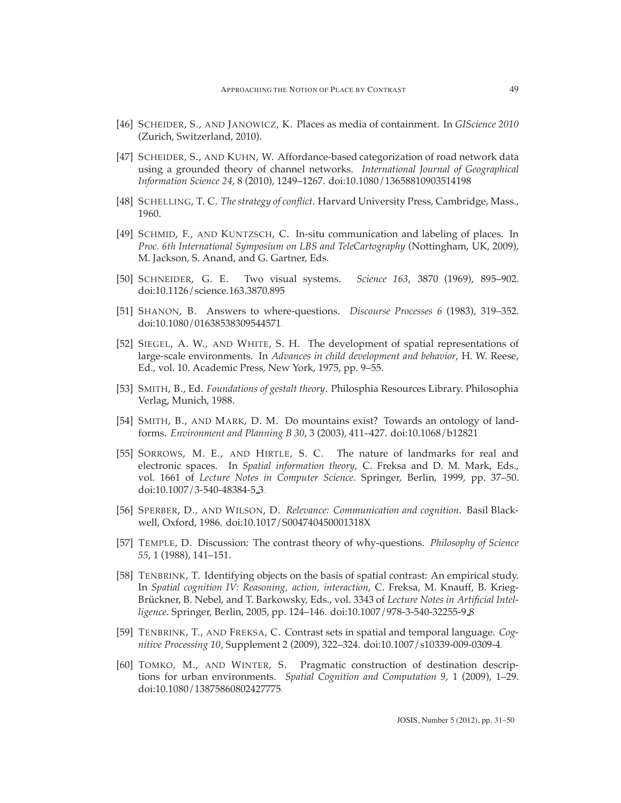- <span id="page-18-9"></span>[46] SCHEIDER, S., AND JANOWICZ, K. Places as media of containment. In *GIScience 2010* (Zurich, Switzerland, 2010).
- <span id="page-18-8"></span>[47] SCHEIDER, S., AND KUHN, W. Affordance-based categorization of road network data using a grounded theory of channel networks. *International Journal of Geographical Information Science 24*, 8 (2010), 1249–1267. [doi:10.1080/13658810903514198.](http://dx.doi.org/10.1080/13658810903514198)
- <span id="page-18-11"></span><span id="page-18-0"></span>[48] SCHELLING, T. C. *The strategy of conflict*. Harvard University Press, Cambridge, Mass., 1960.
- [49] SCHMID, F., AND KUNTZSCH, C. In-situ communication and labeling of places. In *Proc. 6th International Symposium on LBS and TeleCartography* (Nottingham, UK, 2009), M. Jackson, S. Anand, and G. Gartner, Eds.
- <span id="page-18-4"></span><span id="page-18-3"></span>[50] SCHNEIDER, G. E. Two visual systems. *Science 163*, 3870 (1969), 895–902. [doi:10.1126/science.163.3870.895.](http://dx.doi.org/10.1126/science.163.3870.895)
- <span id="page-18-14"></span>[51] SHANON, B. Answers to where-questions. *Discourse Processes 6* (1983), 319–352. [doi:10.1080/01638538309544571.](http://dx.doi.org/10.1080/01638538309544571)
- [52] SIEGEL, A. W., AND WHITE, S. H. The development of spatial representations of large-scale environments. In *Advances in child development and behavior*, H. W. Reese, Ed., vol. 10. Academic Press, New York, 1975, pp. 9–55.
- <span id="page-18-5"></span>[53] SMITH, B., Ed. *Foundations of gestalt theory*. Philosphia Resources Library. Philosophia Verlag, Munich, 1988.
- <span id="page-18-2"></span>[54] SMITH, B., AND MARK, D. M. Do mountains exist? Towards an ontology of landforms. *Environment and Planning B 30*, 3 (2003), 411–427. [doi:10.1068/b12821.](http://dx.doi.org/10.1068/b12821)
- <span id="page-18-10"></span>[55] SORROWS, M. E., AND HIRTLE, S. C. The nature of landmarks for real and electronic spaces. In *Spatial information theory*, C. Freksa and D. M. Mark, Eds., vol. 1661 of *Lecture Notes in Computer Science*. Springer, Berlin, 1999, pp. 37–50. [doi:10.1007/3-540-48384-5](http://dx.doi.org/10.1007/3-540-48384-5_3) 3.
- <span id="page-18-13"></span>[56] SPERBER, D., AND WILSON, D. *Relevance: Communication and cognition*. Basil Blackwell, Oxford, 1986. [doi:10.1017/S004740450001318X.](http://dx.doi.org/10.1017/S004740450001318X)
- <span id="page-18-12"></span>[57] TEMPLE, D. Discussion: The contrast theory of why-questions. *Philosophy of Science 55*, 1 (1988), 141–151.
- <span id="page-18-7"></span>[58] TENBRINK, T. Identifying objects on the basis of spatial contrast: An empirical study. In *Spatial cognition IV: Reasoning, action, interaction*, C. Freksa, M. Knauff, B. Krieg-Brückner, B. Nebel, and T. Barkowsky, Eds., vol. 3343 of *Lecture Notes in Artificial Intelligence*. Springer, Berlin, 2005, pp. 124–146. [doi:10.1007/978-3-540-32255-9](http://dx.doi.org/10.1007/978-3-540-32255-9_8) 8.
- <span id="page-18-6"></span>[59] TENBRINK, T., AND FREKSA, C. Contrast sets in spatial and temporal language. *Cognitive Processing 10*, Supplement 2 (2009), 322–324. [doi:10.1007/s10339-009-0309-4.](http://dx.doi.org/10.1007/s10339-009-0309-4)
- <span id="page-18-1"></span>[60] TOMKO, M., AND WINTER, S. Pragmatic construction of destination descriptions for urban environments. *Spatial Cognition and Computation 9*, 1 (2009), 1–29. [doi:10.1080/13875860802427775.](http://dx.doi.org/10.1080/13875860802427775)